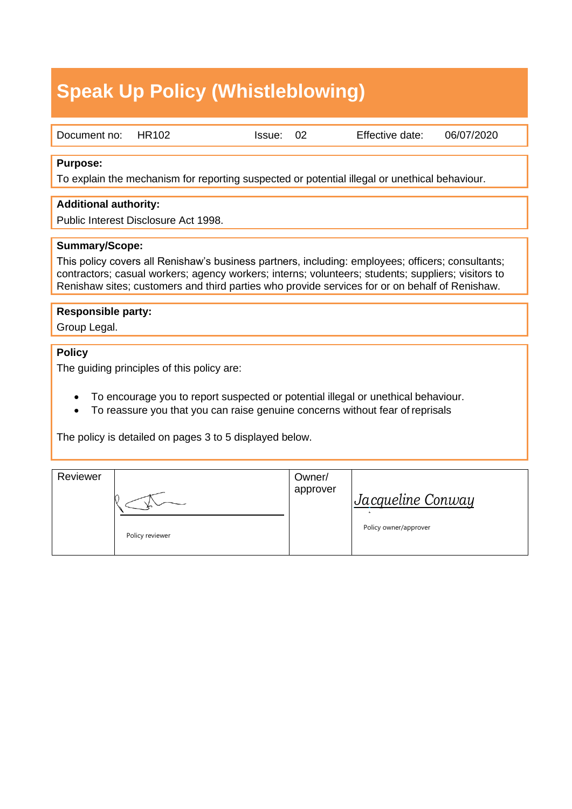# **Speak Up Policy (Whistleblowing)**

| Document no: | <b>HR102</b> |
|--------------|--------------|
|              |              |

Document no: HR102 Issue: 02 Effective date: 06/07/2020

#### **Purpose:**

To explain the mechanism for reporting suspected or potential illegal or unethical behaviour.

#### **Additional authority:**

Public Interest Disclosure Act 1998.

#### **Summary/Scope:**

This policy covers all Renishaw's business partners, including: employees; officers; consultants; contractors; casual workers; agency workers; interns; volunteers; students; suppliers; visitors to Renishaw sites; customers and third parties who provide services for or on behalf of Renishaw.

#### **Responsible party:**

Group Legal.

#### **Policy**

The guiding principles of this policy are:

- To encourage you to report suspected or potential illegal or unethical behaviour.
- To reassure you that you can raise genuine concerns without fear of reprisals

The policy is detailed on pages 3 to 5 displayed below.

| Reviewer |                 | Owner/<br>approver | Jacqueline Conway     |
|----------|-----------------|--------------------|-----------------------|
|          | Policy reviewer |                    | Policy owner/approver |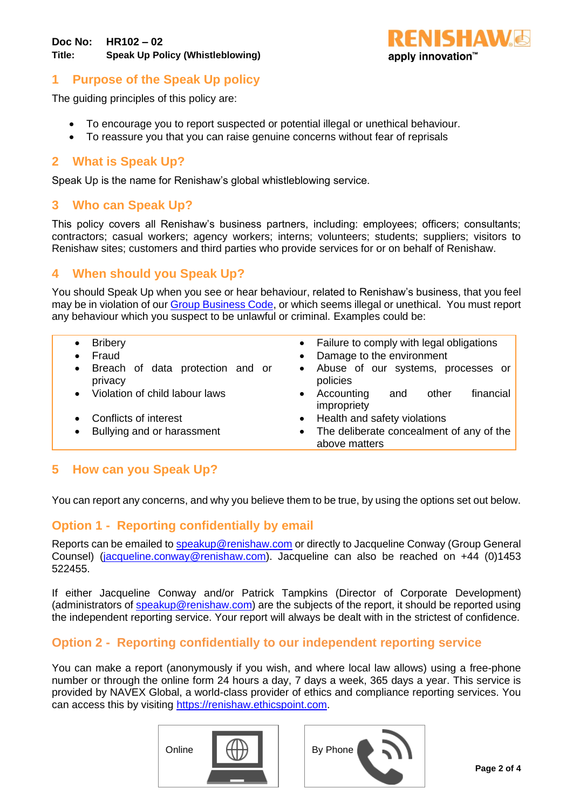

# **1 Purpose of the Speak Up policy**

The guiding principles of this policy are:

- To encourage you to report suspected or potential illegal or unethical behaviour.
- To reassure you that you can raise genuine concerns without fear of reprisals

#### **2 What is Speak Up?**

Speak Up is the name for Renishaw's global whistleblowing service.

## **3 Who can Speak Up?**

This policy covers all Renishaw's business partners, including: employees; officers; consultants; contractors; casual workers; agency workers; interns; volunteers; students; suppliers; visitors to Renishaw sites; customers and third parties who provide services for or on behalf of Renishaw.

# **4 When should you Speak Up?**

You should Speak Up when you see or hear behaviour, related to Renishaw's business, that you feel may be in violation of our [Group Business Code,](https://www.renishaw.com/en/renishaw-group-business-code--14444) or which seems illegal or unethical. You must report any behaviour which you suspect to be unlawful or criminal. Examples could be:

| <b>Bribery</b><br>Fraud<br>Breach of data protection and or<br>$\bullet$<br>privacy<br>Violation of child labour laws<br>$\bullet$<br>Conflicts of interest<br>Bullying and or harassment<br>$\bullet$ | • Failure to comply with legal obligations<br>Damage to the environment<br>Abuse of our systems, processes or<br>$\bullet$<br>policies<br>Accounting<br>financial<br>other<br>and<br>impropriety<br>• Health and safety violations<br>• The deliberate concealment of any of the<br>above matters |
|--------------------------------------------------------------------------------------------------------------------------------------------------------------------------------------------------------|---------------------------------------------------------------------------------------------------------------------------------------------------------------------------------------------------------------------------------------------------------------------------------------------------|
|                                                                                                                                                                                                        |                                                                                                                                                                                                                                                                                                   |

## **5 How can you Speak Up?**

You can report any concerns, and why you believe them to be true, by using the options set out below.

# **Option 1 - Reporting confidentially by email**

Reports can be emailed to [speakup@renishaw.com](mailto:speakup@renishaw.com) or directly to Jacqueline Conway (Group General Counsel) [\(jacqueline.conway@renishaw.com\)](mailto:jacqueline.conway@renishaw.com). Jacqueline can also be reached on +44 (0)1453 522455.

If either Jacqueline Conway and/or Patrick Tampkins (Director of Corporate Development) (administrators of [speakup@renishaw.com\)](mailto:speakup@renishaw.com) are the subjects of the report, it should be reported using the independent reporting service. Your report will always be dealt with in the strictest of confidence.

## **Option 2 - Reporting confidentially to our independent reporting service**

You can make a report (anonymously if you wish, and where local law allows) using a free-phone number or through the online form 24 hours a day, 7 days a week, 365 days a year. This service is provided by NAVEX Global, a world-class provider of ethics and compliance reporting services. You can access this by visiting [https://renishaw.ethicspoint.com.](https://renishaw.ethicspoint.com/)



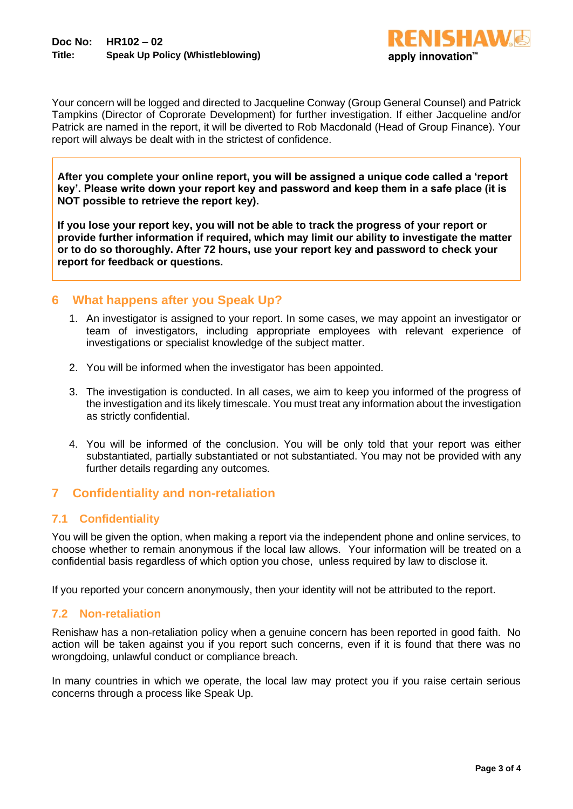

Your concern will be logged and directed to Jacqueline Conway (Group General Counsel) and Patrick Tampkins (Director of Coprorate Development) for further investigation. If either Jacqueline and/or Patrick are named in the report, it will be diverted to Rob Macdonald (Head of Group Finance). Your report will always be dealt with in the strictest of confidence.

**After you complete your online report, you will be assigned a unique code called a 'report key'. Please write down your report key and password and keep them in a safe place (it is NOT possible to retrieve the report key).** 

**If you lose your report key, you will not be able to track the progress of your report or provide further information if required, which may limit our ability to investigate the matter or to do so thoroughly. After 72 hours, use your report key and password to check your report for feedback or questions.**

#### **6 What happens after you Speak Up?**

- 1. An investigator is assigned to your report. In some cases, we may appoint an investigator or team of investigators, including appropriate employees with relevant experience of investigations or specialist knowledge of the subject matter.
- 2. You will be informed when the investigator has been appointed.
- 3. The investigation is conducted. In all cases, we aim to keep you informed of the progress of the investigation and its likely timescale. You must treat any information about the investigation as strictly confidential.
- 4. You will be informed of the conclusion. You will be only told that your report was either substantiated, partially substantiated or not substantiated. You may not be provided with any further details regarding any outcomes.

## **7 Confidentiality and non-retaliation**

#### **7.1 Confidentiality**

You will be given the option, when making a report via the independent phone and online services, to choose whether to remain anonymous if the local law allows. Your information will be treated on a confidential basis regardless of which option you chose, unless required by law to disclose it.

If you reported your concern anonymously, then your identity will not be attributed to the report.

#### **7.2 Non-retaliation**

Renishaw has a non-retaliation policy when a genuine concern has been reported in good faith. No action will be taken against you if you report such concerns, even if it is found that there was no wrongdoing, unlawful conduct or compliance breach.

In many countries in which we operate, the local law may protect you if you raise certain serious concerns through a process like Speak Up.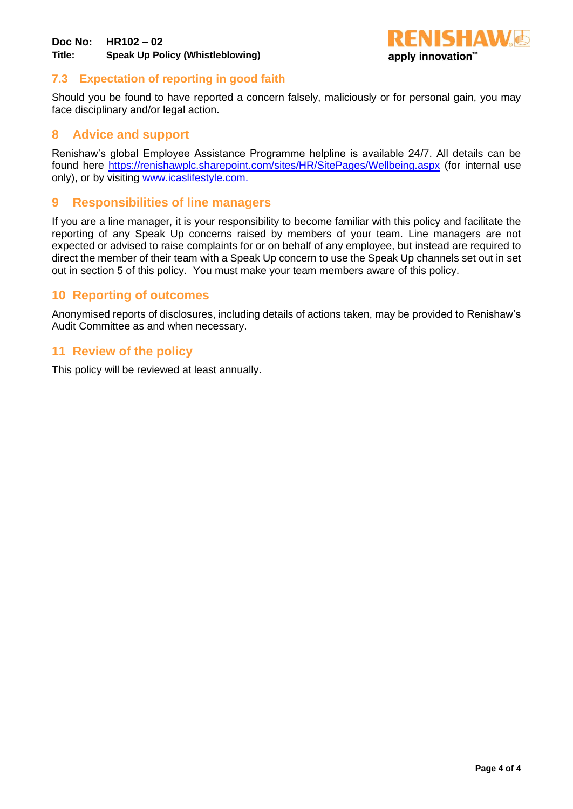

## **7.3 Expectation of reporting in good faith**

Should you be found to have reported a concern falsely, maliciously or for personal gain, you may face disciplinary and/or legal action.

## **8 Advice and support**

Renishaw's global Employee Assistance Programme helpline is available 24/7. All details can be found here<https://renishawplc.sharepoint.com/sites/HR/SitePages/Wellbeing.aspx> (for internal use only), or by visiting [www.icaslifestyle.com.](http://www.icaslifestyle.com/)

## **9 Responsibilities of line managers**

If you are a line manager, it is your responsibility to become familiar with this policy and facilitate the reporting of any Speak Up concerns raised by members of your team. Line managers are not expected or advised to raise complaints for or on behalf of any employee, but instead are required to direct the member of their team with a Speak Up concern to use the Speak Up channels set out in set out in section 5 of this policy. You must make your team members aware of this policy.

## **10 Reporting of outcomes**

Anonymised reports of disclosures, including details of actions taken, may be provided to Renishaw's Audit Committee as and when necessary.

#### **11 Review of the policy**

This policy will be reviewed at least annually.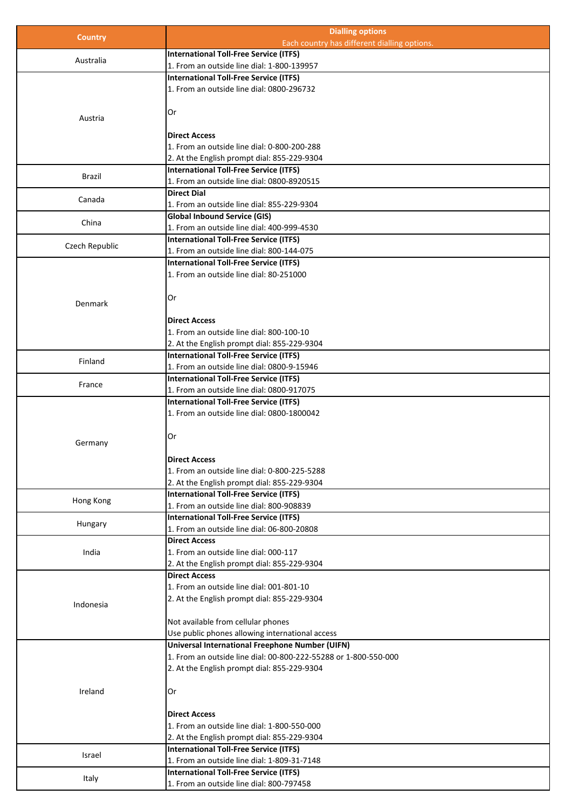|                | <b>Dialling options</b>                                         |
|----------------|-----------------------------------------------------------------|
| <b>Country</b> | Each country has different dialling options.                    |
|                | <b>International Toll-Free Service (ITFS)</b>                   |
| Australia      | 1. From an outside line dial: 1-800-139957                      |
|                | <b>International Toll-Free Service (ITFS)</b>                   |
|                | 1. From an outside line dial: 0800-296732                       |
|                |                                                                 |
|                | Or                                                              |
| Austria        |                                                                 |
|                | <b>Direct Access</b>                                            |
|                | 1. From an outside line dial: 0-800-200-288                     |
|                | 2. At the English prompt dial: 855-229-9304                     |
|                | <b>International Toll-Free Service (ITFS)</b>                   |
| <b>Brazil</b>  | 1. From an outside line dial: 0800-8920515                      |
|                | <b>Direct Dial</b>                                              |
| Canada         | 1. From an outside line dial: 855-229-9304                      |
|                | <b>Global Inbound Service (GIS)</b>                             |
| China          | 1. From an outside line dial: 400-999-4530                      |
|                | International Toll-Free Service (ITFS)                          |
| Czech Republic | 1. From an outside line dial: 800-144-075                       |
|                |                                                                 |
|                | International Toll-Free Service (ITFS)                          |
|                | 1. From an outside line dial: 80-251000                         |
|                |                                                                 |
| <b>Denmark</b> | Or                                                              |
|                |                                                                 |
|                | <b>Direct Access</b>                                            |
|                | 1. From an outside line dial: 800-100-10                        |
|                | 2. At the English prompt dial: 855-229-9304                     |
| Finland        | <b>International Toll-Free Service (ITFS)</b>                   |
|                | 1. From an outside line dial: 0800-9-15946                      |
| France         | International Toll-Free Service (ITFS)                          |
|                | 1. From an outside line dial: 0800-917075                       |
|                | International Toll-Free Service (ITFS)                          |
|                | 1. From an outside line dial: 0800-1800042                      |
|                |                                                                 |
|                | Or                                                              |
| Germany        |                                                                 |
|                | <b>Direct Access</b>                                            |
|                | 1. From an outside line dial: 0-800-225-5288                    |
|                | 2. At the English prompt dial: 855-229-9304                     |
|                | <b>International Toll-Free Service (ITFS)</b>                   |
| Hong Kong      | 1. From an outside line dial: 800-908839                        |
|                | International Toll-Free Service (ITFS)                          |
| Hungary        | 1. From an outside line dial: 06-800-20808                      |
|                | <b>Direct Access</b>                                            |
| India          | 1. From an outside line dial: 000-117                           |
|                | 2. At the English prompt dial: 855-229-9304                     |
|                | <b>Direct Access</b>                                            |
|                | 1. From an outside line dial: 001-801-10                        |
|                | 2. At the English prompt dial: 855-229-9304                     |
| Indonesia      |                                                                 |
|                | Not available from cellular phones                              |
|                | Use public phones allowing international access                 |
|                | Universal International Freephone Number (UIFN)                 |
|                |                                                                 |
|                | 1. From an outside line dial: 00-800-222-55288 or 1-800-550-000 |
|                | 2. At the English prompt dial: 855-229-9304                     |
|                |                                                                 |
| Ireland        | Or                                                              |
|                |                                                                 |
|                | <b>Direct Access</b>                                            |
|                | 1. From an outside line dial: 1-800-550-000                     |
|                | 2. At the English prompt dial: 855-229-9304                     |
| Israel         | <b>International Toll-Free Service (ITFS)</b>                   |
|                | 1. From an outside line dial: 1-809-31-7148                     |
|                | <b>International Toll-Free Service (ITFS)</b>                   |
| Italy          | 1. From an outside line dial: 800-797458                        |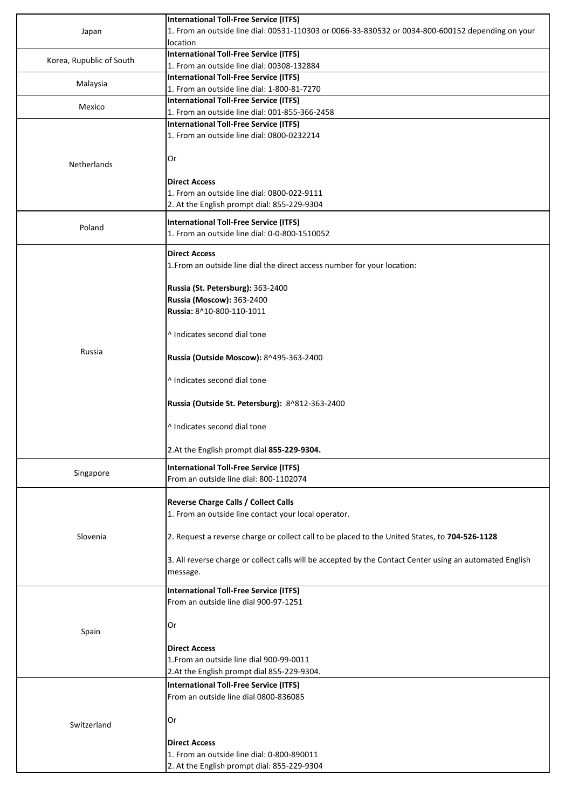|                          | <b>International Toll-Free Service (ITFS)</b>                                                            |
|--------------------------|----------------------------------------------------------------------------------------------------------|
| Japan                    | 1. From an outside line dial: 00531-110303 or 0066-33-830532 or 0034-800-600152 depending on your        |
|                          | location<br>International Toll-Free Service (ITFS)                                                       |
| Korea, Rupublic of South | 1. From an outside line dial: 00308-132884                                                               |
|                          | <b>International Toll-Free Service (ITFS)</b>                                                            |
| Malaysia                 | 1. From an outside line dial: 1-800-81-7270                                                              |
|                          | <b>International Toll-Free Service (ITFS)</b>                                                            |
| Mexico                   | 1. From an outside line dial: 001-855-366-2458                                                           |
|                          | International Toll-Free Service (ITFS)                                                                   |
|                          | 1. From an outside line dial: 0800-0232214                                                               |
|                          |                                                                                                          |
|                          | Or                                                                                                       |
| <b>Netherlands</b>       |                                                                                                          |
|                          | <b>Direct Access</b>                                                                                     |
|                          | 1. From an outside line dial: 0800-022-9111                                                              |
|                          | 2. At the English prompt dial: 855-229-9304                                                              |
|                          |                                                                                                          |
| Poland                   | <b>International Toll-Free Service (ITFS)</b><br>1. From an outside line dial: 0-0-800-1510052           |
|                          |                                                                                                          |
|                          | <b>Direct Access</b>                                                                                     |
|                          | 1. From an outside line dial the direct access number for your location:                                 |
|                          |                                                                                                          |
|                          | Russia (St. Petersburg): 363-2400                                                                        |
|                          | Russia (Moscow): 363-2400                                                                                |
|                          | Russia: 8^10-800-110-1011                                                                                |
|                          |                                                                                                          |
|                          | ^ Indicates second dial tone                                                                             |
|                          |                                                                                                          |
| Russia                   | Russia (Outside Moscow): 8^495-363-2400                                                                  |
|                          |                                                                                                          |
|                          | ^ Indicates second dial tone                                                                             |
|                          |                                                                                                          |
|                          | Russia (Outside St. Petersburg): 8^812-363-2400                                                          |
|                          |                                                                                                          |
|                          | ^ Indicates second dial tone                                                                             |
|                          |                                                                                                          |
|                          | 2.At the English prompt dial 855-229-9304.                                                               |
| Singapore                | International Toll-Free Service (ITFS)                                                                   |
|                          | From an outside line dial: 800-1102074                                                                   |
|                          |                                                                                                          |
|                          | <b>Reverse Charge Calls / Collect Calls</b>                                                              |
| Slovenia                 | 1. From an outside line contact your local operator.                                                     |
|                          |                                                                                                          |
|                          | 2. Request a reverse charge or collect call to be placed to the United States, to 704-526-1128           |
|                          |                                                                                                          |
|                          | 3. All reverse charge or collect calls will be accepted by the Contact Center using an automated English |
|                          | message.                                                                                                 |
|                          | <b>International Toll-Free Service (ITFS)</b>                                                            |
|                          | From an outside line dial 900-97-1251                                                                    |
|                          |                                                                                                          |
|                          | Or                                                                                                       |
| Spain                    |                                                                                                          |
|                          | <b>Direct Access</b>                                                                                     |
|                          | 1. From an outside line dial 900-99-0011                                                                 |
|                          | 2.At the English prompt dial 855-229-9304.                                                               |
|                          | <b>International Toll-Free Service (ITFS)</b>                                                            |
|                          | From an outside line dial 0800-836085                                                                    |
|                          |                                                                                                          |
|                          | Or                                                                                                       |
| Switzerland              |                                                                                                          |
|                          | <b>Direct Access</b>                                                                                     |
|                          | 1. From an outside line dial: 0-800-890011                                                               |
|                          | 2. At the English prompt dial: 855-229-9304                                                              |
|                          |                                                                                                          |